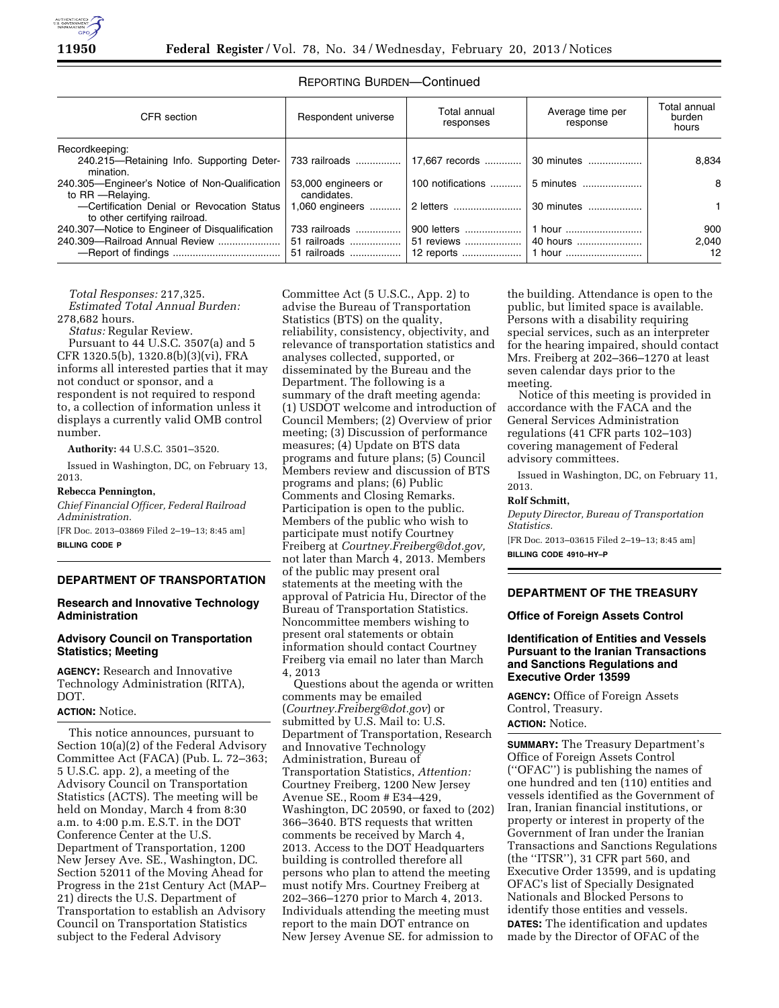

| CFR section                                                                      | Respondent universe                           | Total annual<br>responses | Average time per<br>response | Total annual<br>burden<br>hours   |
|----------------------------------------------------------------------------------|-----------------------------------------------|---------------------------|------------------------------|-----------------------------------|
| Recordkeeping:                                                                   |                                               |                           |                              |                                   |
| 240.215—Retaining Info. Supporting Deter- 733 railroads<br>mination.             |                                               | 17,667 records            | 30 minutes                   | 8,834                             |
| 240.305-Engineer's Notice of Non-Qualification<br>to RR - Relaying.              | 53,000 engineers or<br>candidates.            | 100 notifications         | 5 minutes                    | 8                                 |
| -Certification Denial or Revocation Status<br>to other certifying railroad.      | 1,060 engineers                               | 2 letters                 | 30 minutes                   |                                   |
| 240.307-Notice to Engineer of Disqualification<br>240.309-Railroad Annual Review | 733 railroads<br>51 railroads<br>51 railroads | 900 letters               | 1 hour<br>40 hours           | 900<br>2.040<br>$12 \overline{ }$ |

# REPORTING BURDEN—Continued

*Total Responses:* 217,325. *Estimated Total Annual Burden:*  278,682 hours.

*Status:* Regular Review.

Pursuant to 44 U.S.C. 3507(a) and 5 CFR 1320.5(b), 1320.8(b)(3)(vi), FRA informs all interested parties that it may not conduct or sponsor, and a respondent is not required to respond to, a collection of information unless it displays a currently valid OMB control number.

**Authority:** 44 U.S.C. 3501–3520.

Issued in Washington, DC, on February 13, 2013.

### **Rebecca Pennington,**

*Chief Financial Officer, Federal Railroad Administration.* 

[FR Doc. 2013–03869 Filed 2–19–13; 8:45 am] **BILLING CODE P** 

# **DEPARTMENT OF TRANSPORTATION**

### **Research and Innovative Technology Administration**

# **Advisory Council on Transportation Statistics; Meeting**

**AGENCY:** Research and Innovative Technology Administration (RITA), DOT.

# **ACTION:** Notice.

This notice announces, pursuant to Section 10(a)(2) of the Federal Advisory Committee Act (FACA) (Pub. L. 72–363; 5 U.S.C. app. 2), a meeting of the Advisory Council on Transportation Statistics (ACTS). The meeting will be held on Monday, March 4 from 8:30 a.m. to 4:00 p.m. E.S.T. in the DOT Conference Center at the U.S. Department of Transportation, 1200 New Jersey Ave. SE., Washington, DC. Section 52011 of the Moving Ahead for Progress in the 21st Century Act (MAP– 21) directs the U.S. Department of Transportation to establish an Advisory Council on Transportation Statistics subject to the Federal Advisory

Committee Act (5 U.S.C., App. 2) to advise the Bureau of Transportation Statistics (BTS) on the quality, reliability, consistency, objectivity, and relevance of transportation statistics and analyses collected, supported, or disseminated by the Bureau and the Department. The following is a summary of the draft meeting agenda: (1) USDOT welcome and introduction of Council Members; (2) Overview of prior meeting; (3) Discussion of performance measures; (4) Update on BTS data programs and future plans; (5) Council Members review and discussion of BTS programs and plans; (6) Public Comments and Closing Remarks. Participation is open to the public. Members of the public who wish to participate must notify Courtney Freiberg at *[Courtney.Freiberg@dot.gov,](mailto:Courtney.Freiberg@dot.gov)*  not later than March 4, 2013. Members of the public may present oral statements at the meeting with the approval of Patricia Hu, Director of the Bureau of Transportation Statistics. Noncommittee members wishing to present oral statements or obtain information should contact Courtney Freiberg via email no later than March 4, 2013

Questions about the agenda or written comments may be emailed (*[Courtney.Freiberg@dot.gov](mailto:Courtney.Freiberg@dot.gov)*) or submitted by U.S. Mail to: U.S. Department of Transportation, Research and Innovative Technology Administration, Bureau of Transportation Statistics, *Attention:*  Courtney Freiberg, 1200 New Jersey Avenue SE., Room # E34–429, Washington, DC 20590, or faxed to (202) 366–3640. BTS requests that written comments be received by March 4, 2013. Access to the DOT Headquarters building is controlled therefore all persons who plan to attend the meeting must notify Mrs. Courtney Freiberg at 202–366–1270 prior to March 4, 2013. Individuals attending the meeting must report to the main DOT entrance on New Jersey Avenue SE. for admission to

the building. Attendance is open to the public, but limited space is available. Persons with a disability requiring special services, such as an interpreter for the hearing impaired, should contact Mrs. Freiberg at 202–366–1270 at least seven calendar days prior to the meeting.

Notice of this meeting is provided in accordance with the FACA and the General Services Administration regulations (41 CFR parts 102–103) covering management of Federal advisory committees.

Issued in Washington, DC, on February 11, 2013.

#### **Rolf Schmitt,**

*Deputy Director, Bureau of Transportation Statistics.*  [FR Doc. 2013–03615 Filed 2–19–13; 8:45 am]

**BILLING CODE 4910–HY–P** 

# **DEPARTMENT OF THE TREASURY**

#### **Office of Foreign Assets Control**

## **Identification of Entities and Vessels Pursuant to the Iranian Transactions and Sanctions Regulations and Executive Order 13599**

**AGENCY:** Office of Foreign Assets Control, Treasury. **ACTION:** Notice.

**SUMMARY:** The Treasury Department's Office of Foreign Assets Control (''OFAC'') is publishing the names of one hundred and ten (110) entities and vessels identified as the Government of Iran, Iranian financial institutions, or property or interest in property of the Government of Iran under the Iranian Transactions and Sanctions Regulations (the ''ITSR''), 31 CFR part 560, and Executive Order 13599, and is updating OFAC's list of Specially Designated Nationals and Blocked Persons to identify those entities and vessels. **DATES:** The identification and updates made by the Director of OFAC of the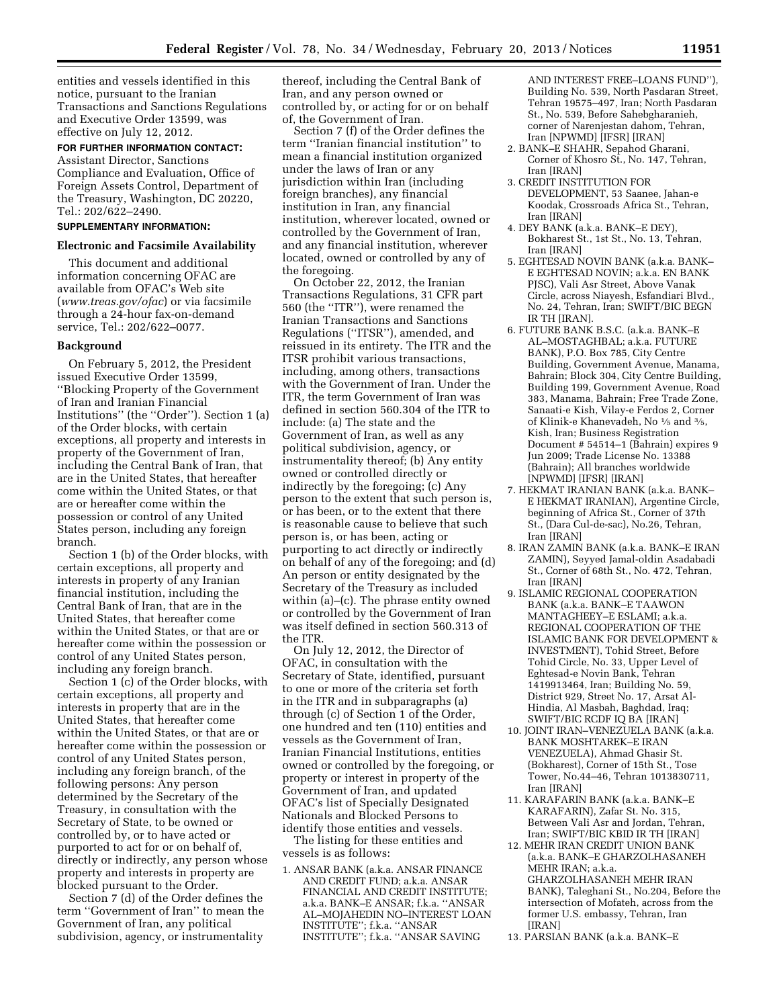entities and vessels identified in this notice, pursuant to the Iranian Transactions and Sanctions Regulations and Executive Order 13599, was effective on July 12, 2012.

### **FOR FURTHER INFORMATION CONTACT:**

Assistant Director, Sanctions Compliance and Evaluation, Office of Foreign Assets Control, Department of the Treasury, Washington, DC 20220, Tel.: 202/622–2490.

# **SUPPLEMENTARY INFORMATION:**

#### **Electronic and Facsimile Availability**

This document and additional information concerning OFAC are available from OFAC's Web site (*[www.treas.gov/ofac](http://www.treas.gov/ofac)*) or via facsimile through a 24-hour fax-on-demand service, Tel.: 202/622–0077.

# **Background**

On February 5, 2012, the President issued Executive Order 13599, ''Blocking Property of the Government of Iran and Iranian Financial Institutions'' (the ''Order''). Section 1 (a) of the Order blocks, with certain exceptions, all property and interests in property of the Government of Iran, including the Central Bank of Iran, that are in the United States, that hereafter come within the United States, or that are or hereafter come within the possession or control of any United States person, including any foreign branch.

Section 1 (b) of the Order blocks, with certain exceptions, all property and interests in property of any Iranian financial institution, including the Central Bank of Iran, that are in the United States, that hereafter come within the United States, or that are or hereafter come within the possession or control of any United States person, including any foreign branch.

Section 1 (c) of the Order blocks, with certain exceptions, all property and interests in property that are in the United States, that hereafter come within the United States, or that are or hereafter come within the possession or control of any United States person, including any foreign branch, of the following persons: Any person determined by the Secretary of the Treasury, in consultation with the Secretary of State, to be owned or controlled by, or to have acted or purported to act for or on behalf of, directly or indirectly, any person whose property and interests in property are blocked pursuant to the Order.

Section 7 (d) of the Order defines the term ''Government of Iran'' to mean the Government of Iran, any political subdivision, agency, or instrumentality

thereof, including the Central Bank of Iran, and any person owned or controlled by, or acting for or on behalf of, the Government of Iran.

Section 7 (f) of the Order defines the term ''Iranian financial institution'' to mean a financial institution organized under the laws of Iran or any jurisdiction within Iran (including foreign branches), any financial institution in Iran, any financial institution, wherever located, owned or controlled by the Government of Iran, and any financial institution, wherever located, owned or controlled by any of the foregoing.

On October 22, 2012, the Iranian Transactions Regulations, 31 CFR part 560 (the ''ITR''), were renamed the Iranian Transactions and Sanctions Regulations (''ITSR''), amended, and reissued in its entirety. The ITR and the ITSR prohibit various transactions, including, among others, transactions with the Government of Iran. Under the ITR, the term Government of Iran was defined in section 560.304 of the ITR to include: (a) The state and the Government of Iran, as well as any political subdivision, agency, or instrumentality thereof; (b) Any entity owned or controlled directly or indirectly by the foregoing; (c) Any person to the extent that such person is, or has been, or to the extent that there is reasonable cause to believe that such person is, or has been, acting or purporting to act directly or indirectly on behalf of any of the foregoing; and (d) An person or entity designated by the Secretary of the Treasury as included within (a)–(c). The phrase entity owned or controlled by the Government of Iran was itself defined in section 560.313 of the ITR.

On July 12, 2012, the Director of OFAC, in consultation with the Secretary of State, identified, pursuant to one or more of the criteria set forth in the ITR and in subparagraphs (a) through (c) of Section 1 of the Order, one hundred and ten (110) entities and vessels as the Government of Iran, Iranian Financial Institutions, entities owned or controlled by the foregoing, or property or interest in property of the Government of Iran, and updated OFAC's list of Specially Designated Nationals and Blocked Persons to identify those entities and vessels. The listing for these entities and

vessels is as follows:

1. ANSAR BANK (a.k.a. ANSAR FINANCE AND CREDIT FUND; a.k.a. ANSAR FINANCIAL AND CREDIT INSTITUTE; a.k.a. BANK–E ANSAR; f.k.a. ''ANSAR AL–MOJAHEDIN NO–INTEREST LOAN INSTITUTE''; f.k.a. ''ANSAR INSTITUTE''; f.k.a. ''ANSAR SAVING

AND INTEREST FREE–LOANS FUND''), Building No. 539, North Pasdaran Street, Tehran 19575–497, Iran; North Pasdaran St., No. 539, Before Sahebgharanieh, corner of Narenjestan dahom, Tehran, Iran [NPWMD] [IFSR] [IRAN]

- 2. BANK–E SHAHR, Sepahod Gharani, Corner of Khosro St., No. 147, Tehran, Iran [IRAN]
- 3. CREDIT INSTITUTION FOR DEVELOPMENT, 53 Saanee, Jahan-e Koodak, Crossroads Africa St., Tehran, Iran [IRAN]
- 4. DEY BANK (a.k.a. BANK–E DEY), Bokharest St., 1st St., No. 13, Tehran, Iran [IRAN]
- 5. EGHTESAD NOVIN BANK (a.k.a. BANK– E EGHTESAD NOVIN; a.k.a. EN BANK PJSC), Vali Asr Street, Above Vanak Circle, across Niayesh, Esfandiari Blvd., No. 24, Tehran, Iran; SWIFT/BIC BEGN IR TH [IRAN].
- 6. FUTURE BANK B.S.C. (a.k.a. BANK–E AL–MOSTAGHBAL; a.k.a. FUTURE BANK), P.O. Box 785, City Centre Building, Government Avenue, Manama, Bahrain; Block 304, City Centre Building, Building 199, Government Avenue, Road 383, Manama, Bahrain; Free Trade Zone, Sanaati-e Kish, Vilay-e Ferdos 2, Corner of Klinik-e Khanevadeh, No 1⁄5 and 3⁄5, Kish, Iran; Business Registration Document # 54514–1 (Bahrain) expires 9 Jun 2009; Trade License No. 13388 (Bahrain); All branches worldwide [NPWMD] [IFSR] [IRAN]
- 7. HEKMAT IRANIAN BANK (a.k.a. BANK– E HEKMAT IRANIAN), Argentine Circle, beginning of Africa St., Corner of 37th St., (Dara Cul-de-sac), No.26, Tehran, Iran [IRAN]
- 8. IRAN ZAMIN BANK (a.k.a. BANK–E IRAN ZAMIN), Seyyed Jamal-oldin Asadabadi St., Corner of 68th St., No. 472, Tehran, Iran [IRAN]
- 9. ISLAMIC REGIONAL COOPERATION BANK (a.k.a. BANK–E TAAWON MANTAGHEEY–E ESLAMI; a.k.a. REGIONAL COOPERATION OF THE ISLAMIC BANK FOR DEVELOPMENT & INVESTMENT), Tohid Street, Before Tohid Circle, No. 33, Upper Level of Eghtesad-e Novin Bank, Tehran 1419913464, Iran; Building No. 59, District 929, Street No. 17, Arsat Al-Hindia, Al Masbah, Baghdad, Iraq; SWIFT/BIC RCDF IQ BA [IRAN]
- 10. JOINT IRAN–VENEZUELA BANK (a.k.a. BANK MOSHTAREK–E IRAN VENEZUELA), Ahmad Ghasir St. (Bokharest), Corner of 15th St., Tose Tower, No.44–46, Tehran 1013830711, Iran [IRAN]
- 11. KARAFARIN BANK (a.k.a. BANK–E KARAFARIN), Zafar St. No. 315, Between Vali Asr and Jordan, Tehran, Iran; SWIFT/BIC KBID IR TH [IRAN]
- 12. MEHR IRAN CREDIT UNION BANK (a.k.a. BANK–E GHARZOLHASANEH MEHR IRAN; a.k.a. GHARZOLHASANEH MEHR IRAN BANK), Taleghani St., No.204, Before the intersection of Mofateh, across from the former U.S. embassy, Tehran, Iran [IRAN]
- 13. PARSIAN BANK (a.k.a. BANK–E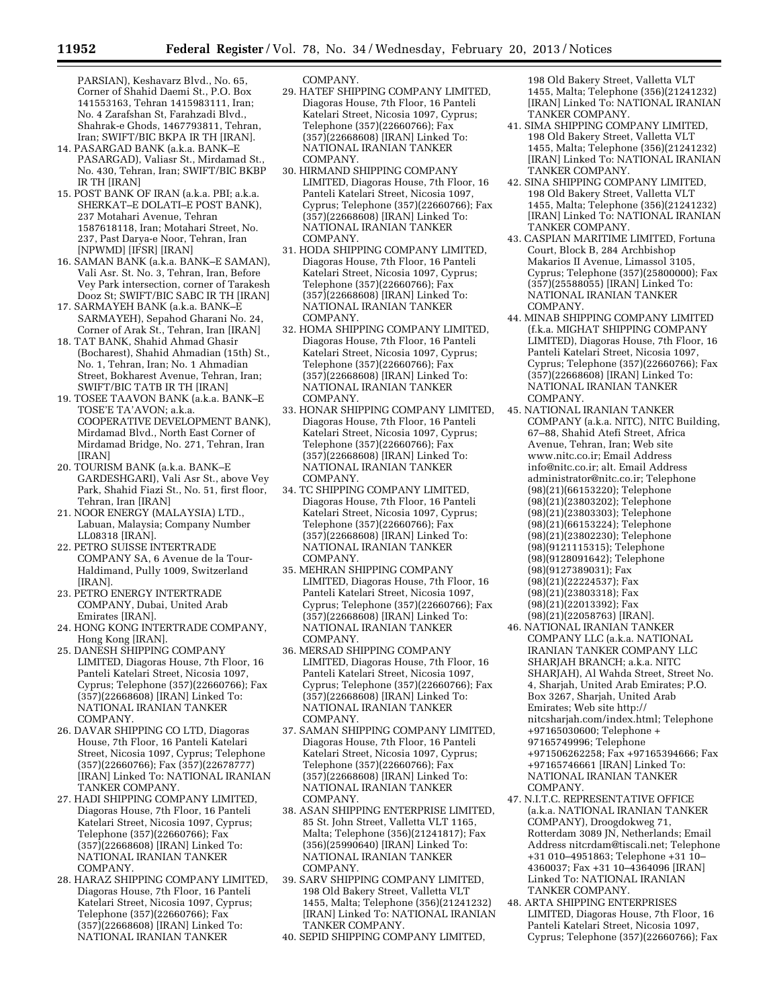PARSIAN), Keshavarz Blvd., No. 65, Corner of Shahid Daemi St., P.O. Box 141553163, Tehran 1415983111, Iran; No. 4 Zarafshan St, Farahzadi Blvd., Shahrak-e Ghods, 1467793811, Tehran, Iran; SWIFT/BIC BKPA IR TH [IRAN].

- 14. PASARGAD BANK (a.k.a. BANK–E PASARGAD), Valiasr St., Mirdamad St., No. 430, Tehran, Iran; SWIFT/BIC BKBP IR TH [IRAN]
- 15. POST BANK OF IRAN (a.k.a. PBI; a.k.a. SHERKAT–E DOLATI–E POST BANK), 237 Motahari Avenue, Tehran 1587618118, Iran; Motahari Street, No. 237, Past Darya-e Noor, Tehran, Iran [NPWMD] [IFSR] [IRAN]
- 16. SAMAN BANK (a.k.a. BANK–E SAMAN), Vali Asr. St. No. 3, Tehran, Iran, Before Vey Park intersection, corner of Tarakesh Dooz St; SWIFT/BIC SABC IR TH [IRAN]
- 17. SARMAYEH BANK (a.k.a. BANK–E SARMAYEH), Sepahod Gharani No. 24, Corner of Arak St., Tehran, Iran [IRAN]
- 18. TAT BANK, Shahid Ahmad Ghasir (Bocharest), Shahid Ahmadian (15th) St., No. 1, Tehran, Iran; No. 1 Ahmadian Street, Bokharest Avenue, Tehran, Iran; SWIFT/BIC TATB IR TH [IRAN]
- 19. TOSEE TAAVON BANK (a.k.a. BANK–E TOSE'E TA'AVON; a.k.a. COOPERATIVE DEVELOPMENT BANK), Mirdamad Blvd., North East Corner of Mirdamad Bridge, No. 271, Tehran, Iran [IRAN]
- 20. TOURISM BANK (a.k.a. BANK–E GARDESHGARI), Vali Asr St., above Vey Park, Shahid Fiazi St., No. 51, first floor, Tehran, Iran [IRAN]
- 21. NOOR ENERGY (MALAYSIA) LTD., Labuan, Malaysia; Company Number LL08318 [IRAN].
- 22. PETRO SUISSE INTERTRADE COMPANY SA, 6 Avenue de la Tour-Haldimand, Pully 1009, Switzerland [IRAN].
- 23. PETRO ENERGY INTERTRADE COMPANY, Dubai, United Arab Emirates [IRAN].
- 24. HONG KONG INTERTRADE COMPANY, Hong Kong [IRAN].
- 25. DANESH SHIPPING COMPANY LIMITED, Diagoras House, 7th Floor, 16 Panteli Katelari Street, Nicosia 1097, Cyprus; Telephone (357)(22660766); Fax (357)(22668608) [IRAN] Linked To: NATIONAL IRANIAN TANKER COMPANY.
- 26. DAVAR SHIPPING CO LTD, Diagoras House, 7th Floor, 16 Panteli Katelari Street, Nicosia 1097, Cyprus; Telephone (357)(22660766); Fax (357)(22678777) [IRAN] Linked To: NATIONAL IRANIAN TANKER COMPANY.
- 27. HADI SHIPPING COMPANY LIMITED, Diagoras House, 7th Floor, 16 Panteli Katelari Street, Nicosia 1097, Cyprus; Telephone (357)(22660766); Fax (357)(22668608) [IRAN] Linked To: NATIONAL IRANIAN TANKER COMPANY.
- 28. HARAZ SHIPPING COMPANY LIMITED, Diagoras House, 7th Floor, 16 Panteli Katelari Street, Nicosia 1097, Cyprus; Telephone (357)(22660766); Fax (357)(22668608) [IRAN] Linked To: NATIONAL IRANIAN TANKER

COMPANY.

- 29. HATEF SHIPPING COMPANY LIMITED, Diagoras House, 7th Floor, 16 Panteli Katelari Street, Nicosia 1097, Cyprus; Telephone (357)(22660766); Fax (357)(22668608) [IRAN] Linked To: NATIONAL IRANIAN TANKER COMPANY.
- 30. HIRMAND SHIPPING COMPANY LIMITED, Diagoras House, 7th Floor, 16 Panteli Katelari Street, Nicosia 1097, Cyprus; Telephone (357)(22660766); Fax (357)(22668608) [IRAN] Linked To: NATIONAL IRANIAN TANKER COMPANY.
- 31. HODA SHIPPING COMPANY LIMITED, Diagoras House, 7th Floor, 16 Panteli Katelari Street, Nicosia 1097, Cyprus; Telephone (357)(22660766); Fax (357)(22668608) [IRAN] Linked To: NATIONAL IRANIAN TANKER COMPANY.
- 32. HOMA SHIPPING COMPANY LIMITED, Diagoras House, 7th Floor, 16 Panteli Katelari Street, Nicosia 1097, Cyprus; Telephone (357)(22660766); Fax (357)(22668608) [IRAN] Linked To: NATIONAL IRANIAN TANKER COMPANY.
- 33. HONAR SHIPPING COMPANY LIMITED, Diagoras House, 7th Floor, 16 Panteli Katelari Street, Nicosia 1097, Cyprus; Telephone (357)(22660766); Fax (357)(22668608) [IRAN] Linked To: NATIONAL IRANIAN TANKER COMPANY.
- 34. TC SHIPPING COMPANY LIMITED, Diagoras House, 7th Floor, 16 Panteli Katelari Street, Nicosia 1097, Cyprus; Telephone (357)(22660766); Fax (357)(22668608) [IRAN] Linked To: NATIONAL IRANIAN TANKER COMPANY.
- 35. MEHRAN SHIPPING COMPANY LIMITED, Diagoras House, 7th Floor, 16 Panteli Katelari Street, Nicosia 1097, Cyprus; Telephone (357)(22660766); Fax (357)(22668608) [IRAN] Linked To: NATIONAL IRANIAN TANKER COMPANY.
- 36. MERSAD SHIPPING COMPANY LIMITED, Diagoras House, 7th Floor, 16 Panteli Katelari Street, Nicosia 1097, Cyprus; Telephone (357)(22660766); Fax (357)(22668608) [IRAN] Linked To: NATIONAL IRANIAN TANKER COMPANY.
- 37. SAMAN SHIPPING COMPANY LIMITED, Diagoras House, 7th Floor, 16 Panteli Katelari Street, Nicosia 1097, Cyprus; Telephone (357)(22660766); Fax (357)(22668608) [IRAN] Linked To: NATIONAL IRANIAN TANKER COMPANY.
- 38. ASAN SHIPPING ENTERPRISE LIMITED, 85 St. John Street, Valletta VLT 1165, Malta; Telephone (356)(21241817); Fax (356)(25990640) [IRAN] Linked To: NATIONAL IRANIAN TANKER COMPANY.
- 39. SARV SHIPPING COMPANY LIMITED, 198 Old Bakery Street, Valletta VLT 1455, Malta; Telephone (356)(21241232) [IRAN] Linked To: NATIONAL IRANIAN TANKER COMPANY.
- 40. SEPID SHIPPING COMPANY LIMITED,

198 Old Bakery Street, Valletta VLT 1455, Malta; Telephone (356)(21241232) [IRAN] Linked To: NATIONAL IRANIAN TANKER COMPANY.

- 41. SIMA SHIPPING COMPANY LIMITED, 198 Old Bakery Street, Valletta VLT 1455, Malta; Telephone (356)(21241232) [IRAN] Linked To: NATIONAL IRANIAN TANKER COMPANY.
- 42. SINA SHIPPING COMPANY LIMITED, 198 Old Bakery Street, Valletta VLT 1455, Malta; Telephone (356)(21241232) [IRAN] Linked To: NATIONAL IRANIAN TANKER COMPANY.
- 43. CASPIAN MARITIME LIMITED, Fortuna Court, Block B, 284 Archbishop Makarios II Avenue, Limassol 3105, Cyprus; Telephone (357)(25800000); Fax (357)(25588055) [IRAN] Linked To: NATIONAL IRANIAN TANKER COMPANY.
- 44. MINAB SHIPPING COMPANY LIMITED (f.k.a. MIGHAT SHIPPING COMPANY LIMITED), Diagoras House, 7th Floor, 16 Panteli Katelari Street, Nicosia 1097, Cyprus; Telephone (357)(22660766); Fax (357)(22668608) [IRAN] Linked To: NATIONAL IRANIAN TANKER COMPANY.
- 45. NATIONAL IRANIAN TANKER COMPANY (a.k.a. NITC), NITC Building, 67–88, Shahid Atefi Street, Africa Avenue, Tehran, Iran; Web site [www.nitc.co.ir;](http//www.nitc.co.ir) Email Address [info@nitc.co.ir; alt. E](mailto:info@nitc.co.ir;alt)mail Address [administrator@nitc.co.ir;](mailto:administrator@nitc.co.ir) Telephone (98)(21)(66153220); Telephone (98)(21)(23803202); Telephone (98)(21)(23803303); Telephone (98)(21)(66153224); Telephone (98)(21)(23802230); Telephone (98)(9121115315); Telephone (98)(9128091642); Telephone (98)(9127389031); Fax (98)(21)(22224537); Fax (98)(21)(23803318); Fax (98)(21)(22013392); Fax
- (98)(21)(22058763) [IRAN]. 46. NATIONAL IRANIAN TANKER COMPANY LLC (a.k.a. NATIONAL IRANIAN TANKER COMPANY LLC SHARJAH BRANCH; a.k.a. NITC SHARJAH), Al Wahda Street, Street No. 4, Sharjah, United Arab Emirates; P.O. Box 3267, Sharjah, United Arab Emirates; Web site [http://](http://nitcsharjah.com/index.html)  [nitcsharjah.com/index.html;](http://nitcsharjah.com/index.html) Telephone +97165030600; Telephone + 97165749996; Telephone +971506262258; Fax +97165394666; Fax +97165746661 [IRAN] Linked To: NATIONAL IRANIAN TANKER COMPANY.
- 47. N.I.T.C. REPRESENTATIVE OFFICE (a.k.a. NATIONAL IRANIAN TANKER COMPANY), Droogdokweg 71, Rotterdam 3089 JN, Netherlands; Email Addres[s nitcrdam@tiscali.net; T](mailto:nitcrdam@tiscali.net)elephone +31 010–4951863; Telephone +31 10– 4360037; Fax +31 10–4364096 [IRAN] Linked To: NATIONAL IRANIAN TANKER COMPANY.
- 48. ARTA SHIPPING ENTERPRISES LIMITED, Diagoras House, 7th Floor, 16 Panteli Katelari Street, Nicosia 1097, Cyprus; Telephone (357)(22660766); Fax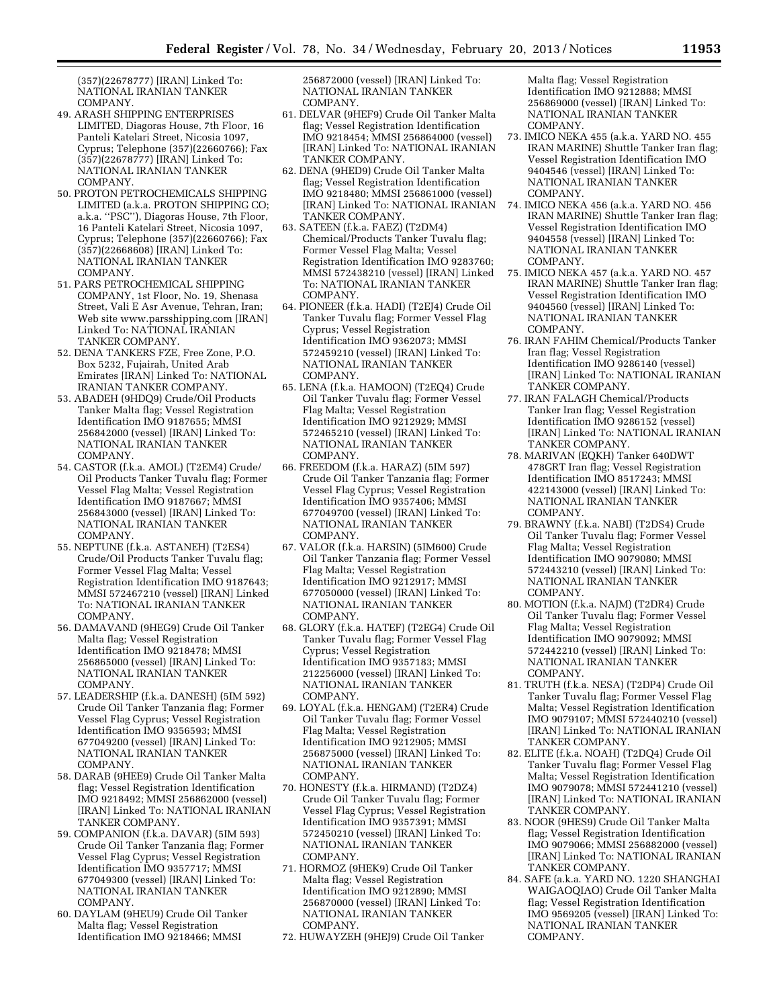(357)(22678777) [IRAN] Linked To: NATIONAL IRANIAN TANKER COMPANY.

- 49. ARASH SHIPPING ENTERPRISES LIMITED, Diagoras House, 7th Floor, 16 Panteli Katelari Street, Nicosia 1097, Cyprus; Telephone (357)(22660766); Fax (357)(22678777) [IRAN] Linked To: NATIONAL IRANIAN TANKER COMPANY.
- 50. PROTON PETROCHEMICALS SHIPPING LIMITED (a.k.a. PROTON SHIPPING CO; a.k.a. ''PSC''), Diagoras House, 7th Floor, 16 Panteli Katelari Street, Nicosia 1097, Cyprus; Telephone (357)(22660766); Fax (357)(22668608) [IRAN] Linked To: NATIONAL IRANIAN TANKER COMPANY.
- 51. PARS PETROCHEMICAL SHIPPING COMPANY, 1st Floor, No. 19, Shenasa Street, Vali E Asr Avenue, Tehran, Iran; Web sit[e www.parsshipping.com](http//www.parsshipping.com) [IRAN] Linked To: NATIONAL IRANIAN TANKER COMPANY.
- 52. DENA TANKERS FZE, Free Zone, P.O. Box 5232, Fujairah, United Arab Emirates [IRAN] Linked To: NATIONAL IRANIAN TANKER COMPANY.
- 53. ABADEH (9HDQ9) Crude/Oil Products Tanker Malta flag; Vessel Registration Identification IMO 9187655; MMSI 256842000 (vessel) [IRAN] Linked To: NATIONAL IRANIAN TANKER COMPANY.
- 54. CASTOR (f.k.a. AMOL) (T2EM4) Crude/ Oil Products Tanker Tuvalu flag; Former Vessel Flag Malta; Vessel Registration Identification IMO 9187667; MMSI 256843000 (vessel) [IRAN] Linked To: NATIONAL IRANIAN TANKER COMPANY.
- 55. NEPTUNE (f.k.a. ASTANEH) (T2ES4) Crude/Oil Products Tanker Tuvalu flag; Former Vessel Flag Malta; Vessel Registration Identification IMO 9187643; MMSI 572467210 (vessel) [IRAN] Linked To: NATIONAL IRANIAN TANKER COMPANY.
- 56. DAMAVAND (9HEG9) Crude Oil Tanker Malta flag; Vessel Registration Identification IMO 9218478; MMSI 256865000 (vessel) [IRAN] Linked To: NATIONAL IRANIAN TANKER COMPANY.
- 57. LEADERSHIP (f.k.a. DANESH) (5IM 592) Crude Oil Tanker Tanzania flag; Former Vessel Flag Cyprus; Vessel Registration Identification IMO 9356593; MMSI 677049200 (vessel) [IRAN] Linked To: NATIONAL IRANIAN TANKER COMPANY.
- 58. DARAB (9HEE9) Crude Oil Tanker Malta flag; Vessel Registration Identification IMO 9218492; MMSI 256862000 (vessel) [IRAN] Linked To: NATIONAL IRANIAN TANKER COMPANY.
- 59. COMPANION (f.k.a. DAVAR) (5IM 593) Crude Oil Tanker Tanzania flag; Former Vessel Flag Cyprus; Vessel Registration Identification IMO 9357717; MMSI 677049300 (vessel) [IRAN] Linked To: NATIONAL IRANIAN TANKER COMPANY.
- 60. DAYLAM (9HEU9) Crude Oil Tanker Malta flag; Vessel Registration Identification IMO 9218466; MMSI

256872000 (vessel) [IRAN] Linked To: NATIONAL IRANIAN TANKER COMPANY.

- 61. DELVAR (9HEF9) Crude Oil Tanker Malta flag; Vessel Registration Identification IMO 9218454; MMSI 256864000 (vessel) [IRAN] Linked To: NATIONAL IRANIAN TANKER COMPANY.
- 62. DENA (9HED9) Crude Oil Tanker Malta flag; Vessel Registration Identification IMO 9218480; MMSI 256861000 (vessel) [IRAN] Linked To: NATIONAL IRANIAN TANKER COMPANY.
- 63. SATEEN (f.k.a. FAEZ) (T2DM4) Chemical/Products Tanker Tuvalu flag; Former Vessel Flag Malta; Vessel Registration Identification IMO 9283760; MMSI 572438210 (vessel) [IRAN] Linked To: NATIONAL IRANIAN TANKER COMPANY.
- 64. PIONEER (f.k.a. HADI) (T2EJ4) Crude Oil Tanker Tuvalu flag; Former Vessel Flag Cyprus; Vessel Registration Identification IMO 9362073; MMSI 572459210 (vessel) [IRAN] Linked To: NATIONAL IRANIAN TANKER COMPANY.
- 65. LENA (f.k.a. HAMOON) (T2EQ4) Crude Oil Tanker Tuvalu flag; Former Vessel Flag Malta; Vessel Registration Identification IMO 9212929; MMSI 572465210 (vessel) [IRAN] Linked To: NATIONAL IRANIAN TANKER COMPANY.
- 66. FREEDOM (f.k.a. HARAZ) (5IM 597) Crude Oil Tanker Tanzania flag; Former Vessel Flag Cyprus; Vessel Registration Identification IMO 9357406; MMSI 677049700 (vessel) [IRAN] Linked To: NATIONAL IRANIAN TANKER COMPANY.
- 67. VALOR (f.k.a. HARSIN) (5IM600) Crude Oil Tanker Tanzania flag; Former Vessel Flag Malta; Vessel Registration Identification IMO 9212917; MMSI 677050000 (vessel) [IRAN] Linked To: NATIONAL IRANIAN TANKER COMPANY.
- 68. GLORY (f.k.a. HATEF) (T2EG4) Crude Oil Tanker Tuvalu flag; Former Vessel Flag Cyprus; Vessel Registration Identification IMO 9357183; MMSI 212256000 (vessel) [IRAN] Linked To: NATIONAL IRANIAN TANKER COMPANY.
- 69. LOYAL (f.k.a. HENGAM) (T2ER4) Crude Oil Tanker Tuvalu flag; Former Vessel Flag Malta; Vessel Registration Identification IMO 9212905; MMSI 256875000 (vessel) [IRAN] Linked To: NATIONAL IRANIAN TANKER COMPANY.
- 70. HONESTY (f.k.a. HIRMAND) (T2DZ4) Crude Oil Tanker Tuvalu flag; Former Vessel Flag Cyprus; Vessel Registration Identification IMO 9357391; MMSI 572450210 (vessel) [IRAN] Linked To: NATIONAL IRANIAN TANKER COMPANY.
- 71. HORMOZ (9HEK9) Crude Oil Tanker Malta flag; Vessel Registration Identification IMO 9212890; MMSI 256870000 (vessel) [IRAN] Linked To: NATIONAL IRANIAN TANKER COMPANY.
- 72. HUWAYZEH (9HEJ9) Crude Oil Tanker

Malta flag; Vessel Registration Identification IMO 9212888; MMSI 256869000 (vessel) [IRAN] Linked To: NATIONAL IRANIAN TANKER COMPANY.

- 73. IMICO NEKA 455 (a.k.a. YARD NO. 455 IRAN MARINE) Shuttle Tanker Iran flag; Vessel Registration Identification IMO 9404546 (vessel) [IRAN] Linked To: NATIONAL IRANIAN TANKER COMPANY.
- 74. IMICO NEKA 456 (a.k.a. YARD NO. 456 IRAN MARINE) Shuttle Tanker Iran flag; Vessel Registration Identification IMO 9404558 (vessel) [IRAN] Linked To: NATIONAL IRANIAN TANKER COMPANY.
- 75. IMICO NEKA 457 (a.k.a. YARD NO. 457 IRAN MARINE) Shuttle Tanker Iran flag; Vessel Registration Identification IMO 9404560 (vessel) [IRAN] Linked To: NATIONAL IRANIAN TANKER COMPANY.
- 76. IRAN FAHIM Chemical/Products Tanker Iran flag; Vessel Registration Identification IMO 9286140 (vessel) [IRAN] Linked To: NATIONAL IRANIAN TANKER COMPANY.
- 77. IRAN FALAGH Chemical/Products Tanker Iran flag; Vessel Registration Identification IMO 9286152 (vessel) [IRAN] Linked To: NATIONAL IRANIAN TANKER COMPANY.
- 78. MARIVAN (EQKH) Tanker 640DWT 478GRT Iran flag; Vessel Registration Identification IMO 8517243; MMSI 422143000 (vessel) [IRAN] Linked To: NATIONAL IRANIAN TANKER COMPANY.
- 79. BRAWNY (f.k.a. NABI) (T2DS4) Crude Oil Tanker Tuvalu flag; Former Vessel Flag Malta; Vessel Registration Identification IMO 9079080; MMSI 572443210 (vessel) [IRAN] Linked To: NATIONAL IRANIAN TANKER COMPANY.
- 80. MOTION (f.k.a. NAJM) (T2DR4) Crude Oil Tanker Tuvalu flag; Former Vessel Flag Malta; Vessel Registration Identification IMO 9079092; MMSI 572442210 (vessel) [IRAN] Linked To: NATIONAL IRANIAN TANKER COMPANY.
- 81. TRUTH (f.k.a. NESA) (T2DP4) Crude Oil Tanker Tuvalu flag; Former Vessel Flag Malta; Vessel Registration Identification IMO 9079107; MMSI 572440210 (vessel) [IRAN] Linked To: NATIONAL IRANIAN TANKER COMPANY.
- 82. ELITE (f.k.a. NOAH) (T2DQ4) Crude Oil Tanker Tuvalu flag; Former Vessel Flag Malta; Vessel Registration Identification IMO 9079078; MMSI 572441210 (vessel) [IRAN] Linked To: NATIONAL IRANIAN TANKER COMPANY.
- 83. NOOR (9HES9) Crude Oil Tanker Malta flag; Vessel Registration Identification IMO 9079066; MMSI 256882000 (vessel) [IRAN] Linked To: NATIONAL IRANIAN TANKER COMPANY.
- 84. SAFE (a.k.a. YARD NO. 1220 SHANGHAI WAIGAOQIAO) Crude Oil Tanker Malta flag; Vessel Registration Identification IMO 9569205 (vessel) [IRAN] Linked To: NATIONAL IRANIAN TANKER COMPANY.